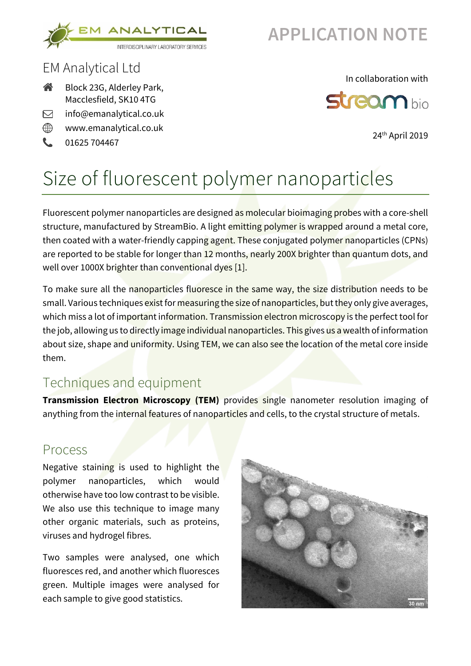

## **APPLICATION NOTE**

### EM Analytical Ltd

- 谷 Block 23G, Alderley Park, Macclesfield, SK10 4TG
- info@emanalytical.co.uk  $\triangleright$
- ⊕ www.emanalytical.co.uk
- t. 01625 704467

#### In collaboration with



24th April 2019

# Size of fluorescent polymer nanoparticles

Fluorescent polymer nanoparticles are designed as molecular bioimaging probes with a core-shell structure, manufactured by StreamBio. A light emitting polymer is wrapped around a metal core, then coated with a water-friendly capping agent. These conjugated polymer nanoparticles (CPNs) are reported to be stable for longer than 12 months, nearly 200X brighter than quantum dots, and well over 1000X brighter than conventional dyes [1].

To make sure all the nanoparticles fluoresce in the same way, the size distribution needs to be small. Various techniques exist for measuring the size of nanoparticles, but they only give averages, which miss a lot of important information. Transmission electron microscopy is the perfect tool for the job, allowing us to directly image individual nanoparticles. This gives us a wealth of information about size, shape and uniformity. Using TEM, we can also see the location of the metal core inside them.

### Techniques and equipment

**Transmission Electron Microscopy (TEM)** provides single nanometer resolution imaging of anything from the internal features of nanoparticles and cells, to the crystal structure of metals.

### Process

Negative staining is used to highlight the polymer nanoparticles, which would otherwise have too low contrast to be visible. We also use this technique to image many other organic materials, such as proteins, viruses and hydrogel fibres.

Two samples were analysed, one which fluoresces red, and another which fluoresces green. Multiple images were analysed for each sample to give good statistics.